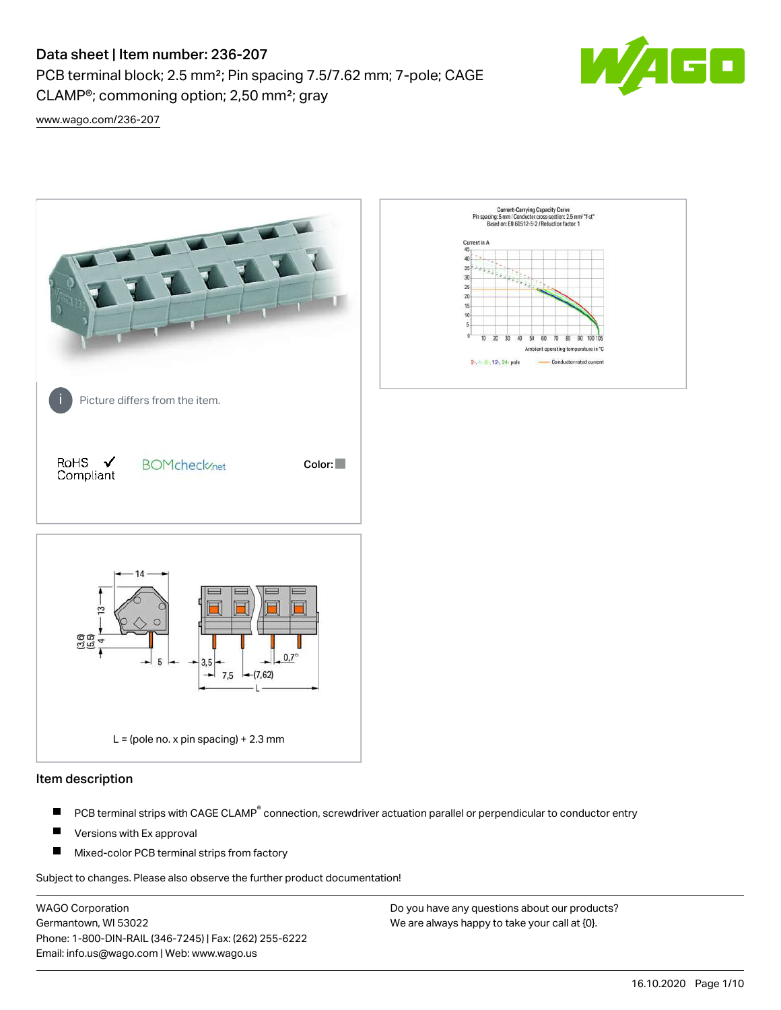PCB terminal block; 2.5 mm²; Pin spacing 7.5/7.62 mm; 7-pole; CAGE CLAMP®; commoning option; 2,50 mm²; gray



[www.wago.com/236-207](http://www.wago.com/236-207)



## Item description

- PCB terminal strips with CAGE CLAMP<sup>®</sup> connection, screwdriver actuation parallel or perpendicular to conductor entry П
- П Versions with Ex approval
- П Mixed-color PCB terminal strips from factory

Subject to changes. Please also observe the further product documentation!

WAGO Corporation Germantown, WI 53022 Phone: 1-800-DIN-RAIL (346-7245) | Fax: (262) 255-6222 Email: info.us@wago.com | Web: www.wago.us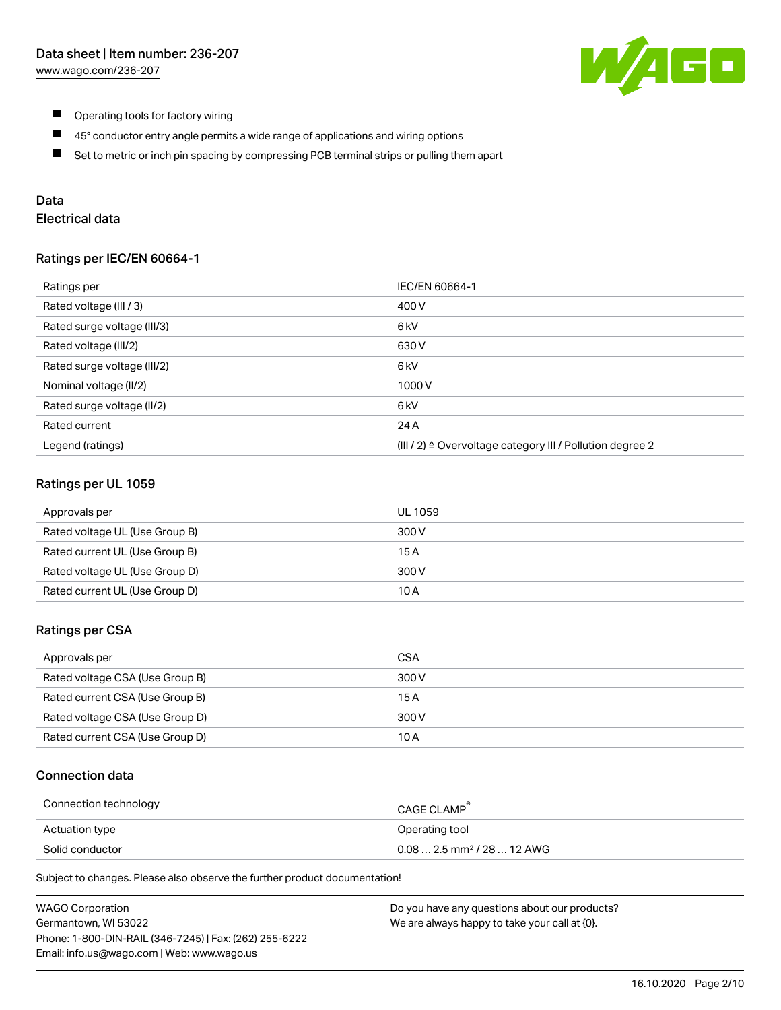

- $\blacksquare$ Operating tools for factory wiring
- $\blacksquare$ 45° conductor entry angle permits a wide range of applications and wiring options
- $\blacksquare$ Set to metric or inch pin spacing by compressing PCB terminal strips or pulling them apart

## Data

# Electrical data

#### Ratings per IEC/EN 60664-1

| Ratings per                 | IEC/EN 60664-1                                                        |
|-----------------------------|-----------------------------------------------------------------------|
| Rated voltage (III / 3)     | 400 V                                                                 |
| Rated surge voltage (III/3) | 6 <sub>kV</sub>                                                       |
| Rated voltage (III/2)       | 630 V                                                                 |
| Rated surge voltage (III/2) | 6 <sub>k</sub> V                                                      |
| Nominal voltage (II/2)      | 1000V                                                                 |
| Rated surge voltage (II/2)  | 6 kV                                                                  |
| Rated current               | 24 A                                                                  |
| Legend (ratings)            | $(III / 2)$ $\triangle$ Overvoltage category III / Pollution degree 2 |

## Ratings per UL 1059

| Approvals per                  | UL 1059 |
|--------------------------------|---------|
| Rated voltage UL (Use Group B) | 300 V   |
| Rated current UL (Use Group B) | 15 A    |
| Rated voltage UL (Use Group D) | 300 V   |
| Rated current UL (Use Group D) | 10 A    |

## Ratings per CSA

| Approvals per                   | CSA   |
|---------------------------------|-------|
| Rated voltage CSA (Use Group B) | 300 V |
| Rated current CSA (Use Group B) | 15 A  |
| Rated voltage CSA (Use Group D) | 300 V |
| Rated current CSA (Use Group D) | 10 A  |

## Connection data

| Connection technology | CAGE CLAMP <sup>®</sup>                 |
|-----------------------|-----------------------------------------|
| Actuation type        | Operating tool                          |
| Solid conductor       | $0.08$ 2.5 mm <sup>2</sup> / 28  12 AWG |

Subject to changes. Please also observe the further product documentation!

| <b>WAGO Corporation</b>                                | Do you have any questions about our products? |
|--------------------------------------------------------|-----------------------------------------------|
| Germantown, WI 53022                                   | We are always happy to take your call at {0}. |
| Phone: 1-800-DIN-RAIL (346-7245)   Fax: (262) 255-6222 |                                               |
| Email: info.us@wago.com   Web: www.wago.us             |                                               |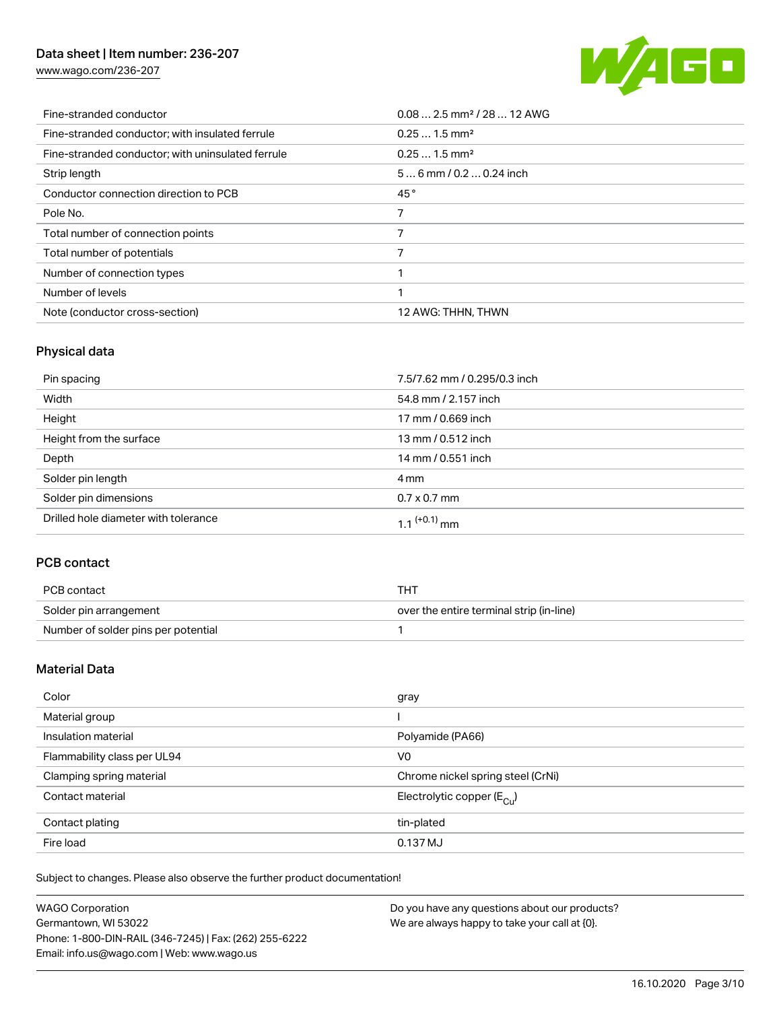[www.wago.com/236-207](http://www.wago.com/236-207)



| Fine-stranded conductor                           | $0.08$ 2.5 mm <sup>2</sup> / 28  12 AWG |
|---------------------------------------------------|-----------------------------------------|
| Fine-stranded conductor; with insulated ferrule   | $0.251.5$ mm <sup>2</sup>               |
| Fine-stranded conductor; with uninsulated ferrule | $0.251.5$ mm <sup>2</sup>               |
| Strip length                                      | $56$ mm $/ 0.20.24$ inch                |
| Conductor connection direction to PCB             | 45°                                     |
| Pole No.                                          |                                         |
| Total number of connection points                 | 7                                       |
| Total number of potentials                        |                                         |
| Number of connection types                        |                                         |
| Number of levels                                  | ◀                                       |
| Note (conductor cross-section)                    | 12 AWG: THHN, THWN                      |

# Physical data

| Pin spacing                          | 7.5/7.62 mm / 0.295/0.3 inch |
|--------------------------------------|------------------------------|
| Width                                | 54.8 mm / 2.157 inch         |
| Height                               | 17 mm / 0.669 inch           |
| Height from the surface              | 13 mm / 0.512 inch           |
| Depth                                | 14 mm / 0.551 inch           |
| Solder pin length                    | 4 mm                         |
| Solder pin dimensions                | $0.7 \times 0.7$ mm          |
| Drilled hole diameter with tolerance | $1.1$ <sup>(+0.1)</sup> mm   |

## PCB contact

| PCB contact                         | THT                                      |
|-------------------------------------|------------------------------------------|
| Solder pin arrangement              | over the entire terminal strip (in-line) |
| Number of solder pins per potential |                                          |

## Material Data

| Color                       | gray                                  |
|-----------------------------|---------------------------------------|
| Material group              |                                       |
| Insulation material         | Polyamide (PA66)                      |
| Flammability class per UL94 | V <sub>0</sub>                        |
| Clamping spring material    | Chrome nickel spring steel (CrNi)     |
| Contact material            | Electrolytic copper $(E_{\text{CL}})$ |
| Contact plating             | tin-plated                            |
| Fire load                   | 0.137 MJ                              |

Subject to changes. Please also observe the further product documentation!

| <b>WAGO Corporation</b>                                | Do you have any questions about our products? |
|--------------------------------------------------------|-----------------------------------------------|
| Germantown, WI 53022                                   | We are always happy to take your call at {0}. |
| Phone: 1-800-DIN-RAIL (346-7245)   Fax: (262) 255-6222 |                                               |
| Email: info.us@wago.com   Web: www.wago.us             |                                               |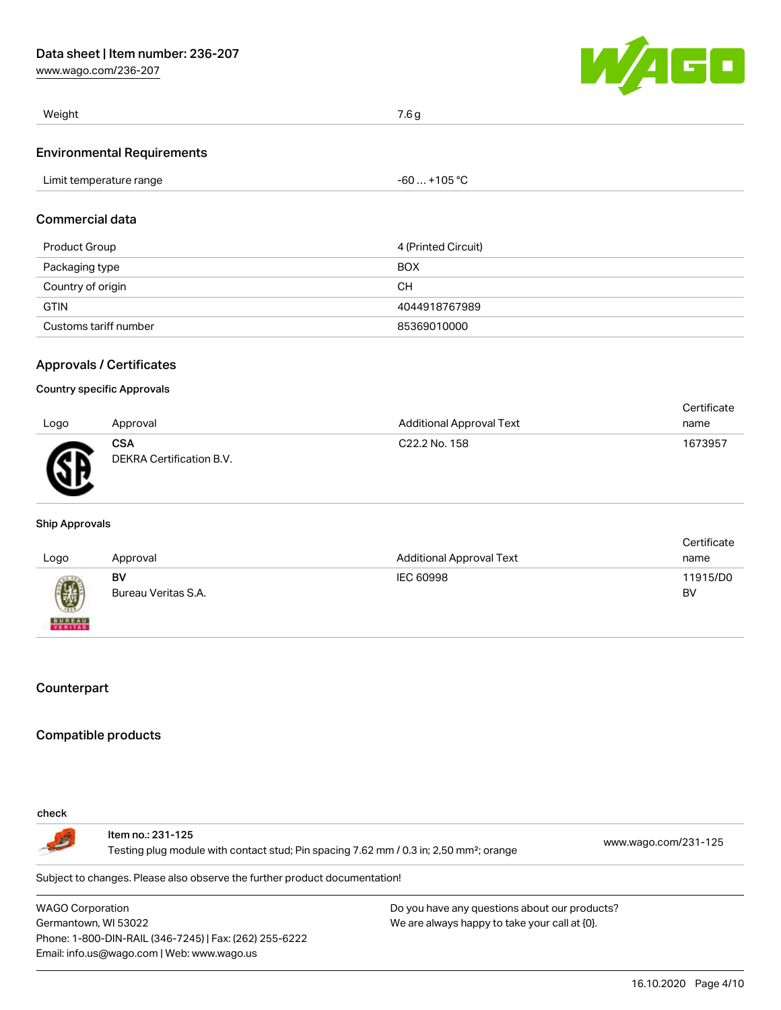[www.wago.com/236-207](http://www.wago.com/236-207)



| Weight                            | 7.6 <sub>g</sub> |
|-----------------------------------|------------------|
| <b>Environmental Requirements</b> |                  |
| Limit temperature range           | $-60+105 °C$     |
| Commercial data                   |                  |

| Product Group         | 4 (Printed Circuit) |
|-----------------------|---------------------|
| Packaging type        | <b>BOX</b>          |
| Country of origin     | CН                  |
| <b>GTIN</b>           | 4044918767989       |
| Customs tariff number | 85369010000         |

## Approvals / Certificates

#### Country specific Approvals

|      |                                        |                           | Certificate |
|------|----------------------------------------|---------------------------|-------------|
| Logo | Approval                               | Additional Approval Text  | name        |
| Ж    | <b>CSA</b><br>DEKRA Certification B.V. | C <sub>22.2</sub> No. 158 | 1673957     |

#### Ship Approvals

| Logo                     | Approval                  | <b>Additional Approval Text</b> | Certificate<br>name |
|--------------------------|---------------------------|---------------------------------|---------------------|
| 國                        | BV<br>Bureau Veritas S.A. | IEC 60998                       | 11915/D0<br>BV      |
| <b>BUREAU</b><br>VERITAS |                           |                                 |                     |

## **Counterpart**

#### Compatible products

#### check

Item no.: 231-125 Testing plug module with contact stud; Pin spacing 7.62 mm / 0.3 in; 2,50 mm²; orange [www.wago.com/231-125](http://www.wago.com/231-125)

Subject to changes. Please also observe the further product documentation!

WAGO Corporation Germantown, WI 53022 Phone: 1-800-DIN-RAIL (346-7245) | Fax: (262) 255-6222 Email: info.us@wago.com | Web: www.wago.us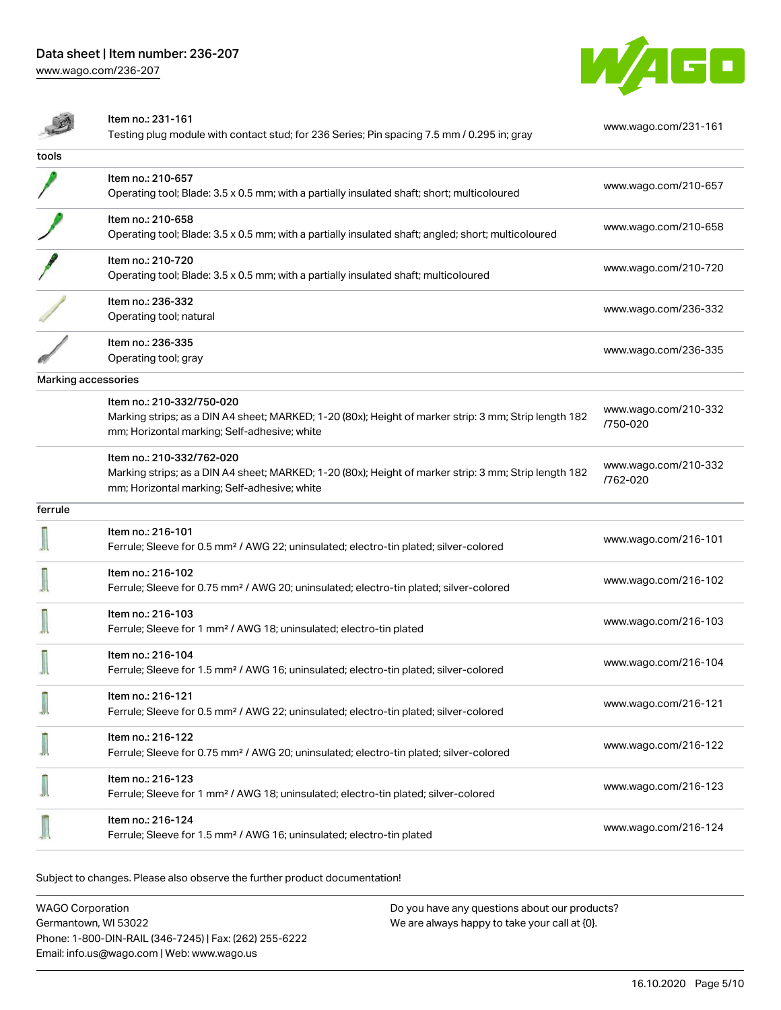[www.wago.com/236-207](http://www.wago.com/236-207)



|                            | Item no.: 231-161<br>Testing plug module with contact stud; for 236 Series; Pin spacing 7.5 mm / 0.295 in; gray                                                                    | www.wago.com/231-161             |
|----------------------------|------------------------------------------------------------------------------------------------------------------------------------------------------------------------------------|----------------------------------|
| tools                      |                                                                                                                                                                                    |                                  |
|                            | Item no.: 210-657<br>Operating tool; Blade: 3.5 x 0.5 mm; with a partially insulated shaft; short; multicoloured                                                                   | www.wago.com/210-657             |
|                            | Item no.: 210-658<br>Operating tool; Blade: 3.5 x 0.5 mm; with a partially insulated shaft; angled; short; multicoloured                                                           | www.wago.com/210-658             |
|                            | Item no.: 210-720<br>Operating tool; Blade: 3.5 x 0.5 mm; with a partially insulated shaft; multicoloured                                                                          | www.wago.com/210-720             |
|                            | Item no.: 236-332<br>Operating tool; natural                                                                                                                                       | www.wago.com/236-332             |
|                            | Item no.: 236-335<br>Operating tool; gray                                                                                                                                          | www.wago.com/236-335             |
| <b>Marking accessories</b> |                                                                                                                                                                                    |                                  |
|                            | Item no.: 210-332/750-020<br>Marking strips; as a DIN A4 sheet; MARKED; 1-20 (80x); Height of marker strip: 3 mm; Strip length 182<br>mm; Horizontal marking; Self-adhesive; white | www.wago.com/210-332<br>/750-020 |
|                            | Item no.: 210-332/762-020<br>Marking strips; as a DIN A4 sheet; MARKED; 1-20 (80x); Height of marker strip: 3 mm; Strip length 182<br>mm; Horizontal marking; Self-adhesive; white | www.wago.com/210-332<br>/762-020 |
| ferrule                    |                                                                                                                                                                                    |                                  |
|                            | Item no.: 216-101<br>Ferrule; Sleeve for 0.5 mm <sup>2</sup> / AWG 22; uninsulated; electro-tin plated; silver-colored                                                             | www.wago.com/216-101             |
|                            | Item no.: 216-102<br>Ferrule; Sleeve for 0.75 mm <sup>2</sup> / AWG 20; uninsulated; electro-tin plated; silver-colored                                                            | www.wago.com/216-102             |
|                            | Item no.: 216-103<br>Ferrule; Sleeve for 1 mm <sup>2</sup> / AWG 18; uninsulated; electro-tin plated                                                                               | www.wago.com/216-103             |
|                            | Item no.: 216-104<br>Ferrule; Sleeve for 1.5 mm <sup>2</sup> / AWG 16; uninsulated; electro-tin plated; silver-colored                                                             | www.wago.com/216-104             |
|                            | Item no.: 216-121<br>Ferrule; Sleeve for 0.5 mm <sup>2</sup> / AWG 22; uninsulated; electro-tin plated; silver-colored                                                             | www.wago.com/216-121             |
|                            | Item no.: 216-122<br>Ferrule; Sleeve for 0.75 mm <sup>2</sup> / AWG 20; uninsulated; electro-tin plated; silver-colored                                                            | www.wago.com/216-122             |
|                            | Item no.: 216-123<br>Ferrule; Sleeve for 1 mm <sup>2</sup> / AWG 18; uninsulated; electro-tin plated; silver-colored                                                               | www.wago.com/216-123             |
|                            | Item no.: 216-124<br>Ferrule; Sleeve for 1.5 mm <sup>2</sup> / AWG 16; uninsulated; electro-tin plated                                                                             | www.wago.com/216-124             |

Subject to changes. Please also observe the further product documentation!

WAGO Corporation Germantown, WI 53022 Phone: 1-800-DIN-RAIL (346-7245) | Fax: (262) 255-6222 Email: info.us@wago.com | Web: www.wago.us Do you have any questions about our products? We are always happy to take your call at {0}.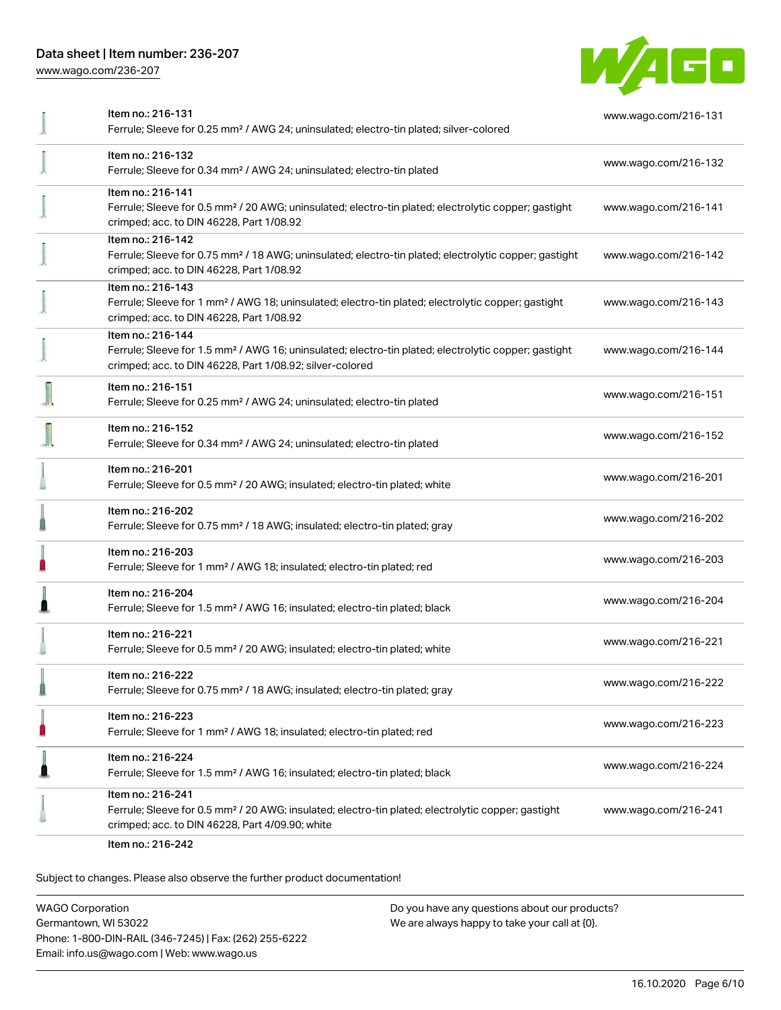[www.wago.com/236-207](http://www.wago.com/236-207)



| Item no.: 216-131<br>Ferrule; Sleeve for 0.25 mm <sup>2</sup> / AWG 24; uninsulated; electro-tin plated; silver-colored                                                                           | www.wago.com/216-131 |
|---------------------------------------------------------------------------------------------------------------------------------------------------------------------------------------------------|----------------------|
| Item no.: 216-132<br>Ferrule; Sleeve for 0.34 mm <sup>2</sup> / AWG 24; uninsulated; electro-tin plated                                                                                           | www.wago.com/216-132 |
| Item no.: 216-141<br>Ferrule; Sleeve for 0.5 mm <sup>2</sup> / 20 AWG; uninsulated; electro-tin plated; electrolytic copper; gastight<br>crimped; acc. to DIN 46228, Part 1/08.92                 | www.wago.com/216-141 |
| Item no.: 216-142<br>Ferrule; Sleeve for 0.75 mm <sup>2</sup> / 18 AWG; uninsulated; electro-tin plated; electrolytic copper; gastight<br>crimped; acc. to DIN 46228, Part 1/08.92                | www.wago.com/216-142 |
| Item no.: 216-143<br>Ferrule; Sleeve for 1 mm <sup>2</sup> / AWG 18; uninsulated; electro-tin plated; electrolytic copper; gastight<br>crimped; acc. to DIN 46228, Part 1/08.92                   | www.wago.com/216-143 |
| Item no.: 216-144<br>Ferrule; Sleeve for 1.5 mm <sup>2</sup> / AWG 16; uninsulated; electro-tin plated; electrolytic copper; gastight<br>crimped; acc. to DIN 46228, Part 1/08.92; silver-colored | www.wago.com/216-144 |
| Item no.: 216-151<br>Ferrule; Sleeve for 0.25 mm <sup>2</sup> / AWG 24; uninsulated; electro-tin plated                                                                                           | www.wago.com/216-151 |
| Item no.: 216-152<br>Ferrule; Sleeve for 0.34 mm <sup>2</sup> / AWG 24; uninsulated; electro-tin plated                                                                                           | www.wago.com/216-152 |
| Item no.: 216-201<br>Ferrule; Sleeve for 0.5 mm <sup>2</sup> / 20 AWG; insulated; electro-tin plated; white                                                                                       | www.wago.com/216-201 |
| Item no.: 216-202<br>Ferrule; Sleeve for 0.75 mm <sup>2</sup> / 18 AWG; insulated; electro-tin plated; gray                                                                                       | www.wago.com/216-202 |
| Item no.: 216-203<br>Ferrule; Sleeve for 1 mm <sup>2</sup> / AWG 18; insulated; electro-tin plated; red                                                                                           | www.wago.com/216-203 |
| Item no.: 216-204<br>Ferrule; Sleeve for 1.5 mm <sup>2</sup> / AWG 16; insulated; electro-tin plated; black                                                                                       | www.wago.com/216-204 |
| Item no.: 216-221<br>Ferrule; Sleeve for 0.5 mm <sup>2</sup> / 20 AWG; insulated; electro-tin plated; white                                                                                       | www.wago.com/216-221 |
| Item no.: 216-222<br>Ferrule; Sleeve for 0.75 mm <sup>2</sup> / 18 AWG; insulated; electro-tin plated; gray                                                                                       | www.wago.com/216-222 |
| Item no.: 216-223<br>Ferrule; Sleeve for 1 mm <sup>2</sup> / AWG 18; insulated; electro-tin plated; red                                                                                           | www.wago.com/216-223 |
| Item no.: 216-224<br>Ferrule; Sleeve for 1.5 mm <sup>2</sup> / AWG 16; insulated; electro-tin plated; black                                                                                       | www.wago.com/216-224 |
| Item no.: 216-241<br>Ferrule; Sleeve for 0.5 mm <sup>2</sup> / 20 AWG; insulated; electro-tin plated; electrolytic copper; gastight<br>crimped; acc. to DIN 46228, Part 4/09.90; white            | www.wago.com/216-241 |
| $Hcm$ $m1$ , $m1$ , $m1$                                                                                                                                                                          |                      |

Item no.: 216-242

Subject to changes. Please also observe the further product documentation!

WAGO Corporation Germantown, WI 53022 Phone: 1-800-DIN-RAIL (346-7245) | Fax: (262) 255-6222 Email: info.us@wago.com | Web: www.wago.us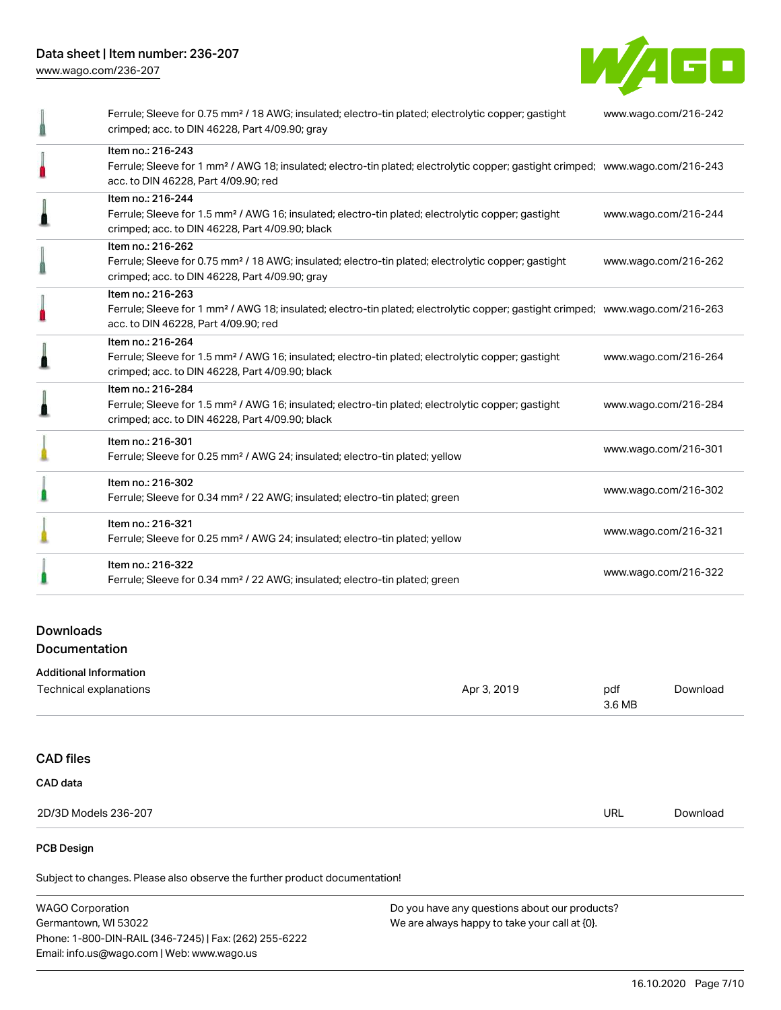[www.wago.com/236-207](http://www.wago.com/236-207)



| Ferrule; Sleeve for 0.75 mm <sup>2</sup> / 18 AWG; insulated; electro-tin plated; electrolytic copper; gastight<br>crimped; acc. to DIN 46228, Part 4/09.90; gray                                       | www.wago.com/216-242 |
|---------------------------------------------------------------------------------------------------------------------------------------------------------------------------------------------------------|----------------------|
| Item no.: 216-243<br>Ferrule; Sleeve for 1 mm <sup>2</sup> / AWG 18; insulated; electro-tin plated; electrolytic copper; gastight crimped; www.wago.com/216-243<br>acc. to DIN 46228, Part 4/09.90; red |                      |
| Item no.: 216-244<br>Ferrule; Sleeve for 1.5 mm <sup>2</sup> / AWG 16; insulated; electro-tin plated; electrolytic copper; gastight<br>crimped; acc. to DIN 46228, Part 4/09.90; black                  | www.wago.com/216-244 |
| Item no.: 216-262<br>Ferrule; Sleeve for 0.75 mm <sup>2</sup> / 18 AWG; insulated; electro-tin plated; electrolytic copper; gastight<br>crimped; acc. to DIN 46228, Part 4/09.90; gray                  | www.wago.com/216-262 |
| Item no.: 216-263<br>Ferrule; Sleeve for 1 mm <sup>2</sup> / AWG 18; insulated; electro-tin plated; electrolytic copper; gastight crimped; www.wago.com/216-263<br>acc. to DIN 46228, Part 4/09.90; red |                      |
| Item no.: 216-264<br>Ferrule; Sleeve for 1.5 mm <sup>2</sup> / AWG 16; insulated; electro-tin plated; electrolytic copper; gastight<br>crimped; acc. to DIN 46228, Part 4/09.90; black                  | www.wago.com/216-264 |
| Item no.: 216-284<br>Ferrule; Sleeve for 1.5 mm <sup>2</sup> / AWG 16; insulated; electro-tin plated; electrolytic copper; gastight<br>crimped; acc. to DIN 46228, Part 4/09.90; black                  | www.wago.com/216-284 |
| Item no.: 216-301<br>Ferrule; Sleeve for 0.25 mm <sup>2</sup> / AWG 24; insulated; electro-tin plated; yellow                                                                                           | www.wago.com/216-301 |
| Item no.: 216-302<br>Ferrule; Sleeve for 0.34 mm <sup>2</sup> / 22 AWG; insulated; electro-tin plated; green                                                                                            | www.wago.com/216-302 |
| Item no.: 216-321<br>Ferrule; Sleeve for 0.25 mm <sup>2</sup> / AWG 24; insulated; electro-tin plated; yellow                                                                                           | www.wago.com/216-321 |
| Item no.: 216-322<br>Ferrule; Sleeve for 0.34 mm <sup>2</sup> / 22 AWG; insulated; electro-tin plated; green                                                                                            | www.wago.com/216-322 |

## Downloads Documentation

| <b>Additional Information</b><br>Technical explanations | Apr 3, 2019 | pdf<br>3.6 MB | Download |
|---------------------------------------------------------|-------------|---------------|----------|
|                                                         |             |               |          |
| <b>CAD files</b>                                        |             |               |          |
| CAD data                                                |             |               |          |
| 2D/3D Models 236-207                                    |             | <b>URL</b>    | Download |
| <b>PCB Design</b>                                       |             |               |          |

Subject to changes. Please also observe the further product documentation!

WAGO Corporation Germantown, WI 53022 Phone: 1-800-DIN-RAIL (346-7245) | Fax: (262) 255-6222 Email: info.us@wago.com | Web: www.wago.us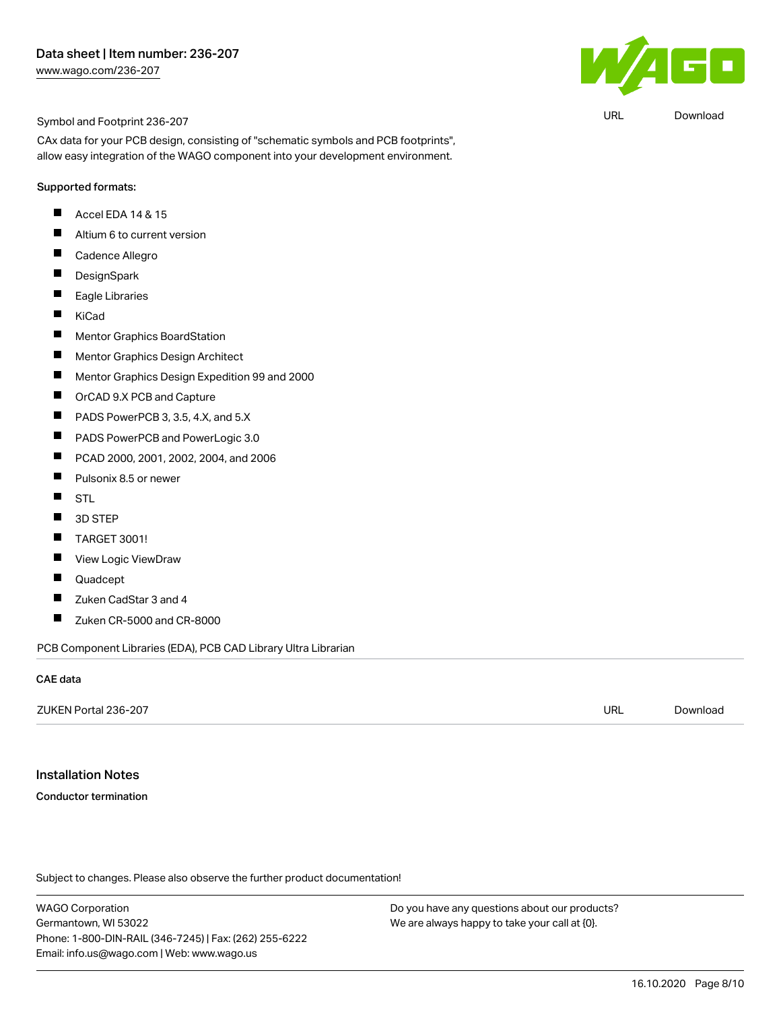

URL [Download](https://www.wago.com/us/d/UltraLibrarian_URLS_236-207)

#### Symbol and Footprint 236-207

CAx data for your PCB design, consisting of "schematic symbols and PCB footprints", allow easy integration of the WAGO component into your development environment.

#### Supported formats:

- $\blacksquare$ Accel EDA 14 & 15
- $\blacksquare$ Altium 6 to current version
- $\blacksquare$ Cadence Allegro
- $\blacksquare$ **DesignSpark**
- $\blacksquare$ Eagle Libraries
- $\blacksquare$ KiCad
- $\blacksquare$ Mentor Graphics BoardStation
- $\blacksquare$ Mentor Graphics Design Architect
- $\blacksquare$ Mentor Graphics Design Expedition 99 and 2000
- $\blacksquare$ OrCAD 9.X PCB and Capture
- $\blacksquare$ PADS PowerPCB 3, 3.5, 4.X, and 5.X
- $\blacksquare$ PADS PowerPCB and PowerLogic 3.0
- $\blacksquare$ PCAD 2000, 2001, 2002, 2004, and 2006
- $\blacksquare$ Pulsonix 8.5 or newer
- $\blacksquare$ STL
- $\blacksquare$ 3D STEP
- $\blacksquare$ TARGET 3001!
- $\blacksquare$ View Logic ViewDraw
- П Quadcept
- $\blacksquare$ Zuken CadStar 3 and 4
- $\blacksquare$ Zuken CR-5000 and CR-8000

PCB Component Libraries (EDA), PCB CAD Library Ultra Librarian

#### CAE data

| ZUKEN Portal 236-207 | URL | Download |
|----------------------|-----|----------|
|                      |     |          |

## Installation Notes

#### Conductor termination

Subject to changes. Please also observe the further product documentation!

WAGO Corporation Germantown, WI 53022 Phone: 1-800-DIN-RAIL (346-7245) | Fax: (262) 255-6222 Email: info.us@wago.com | Web: www.wago.us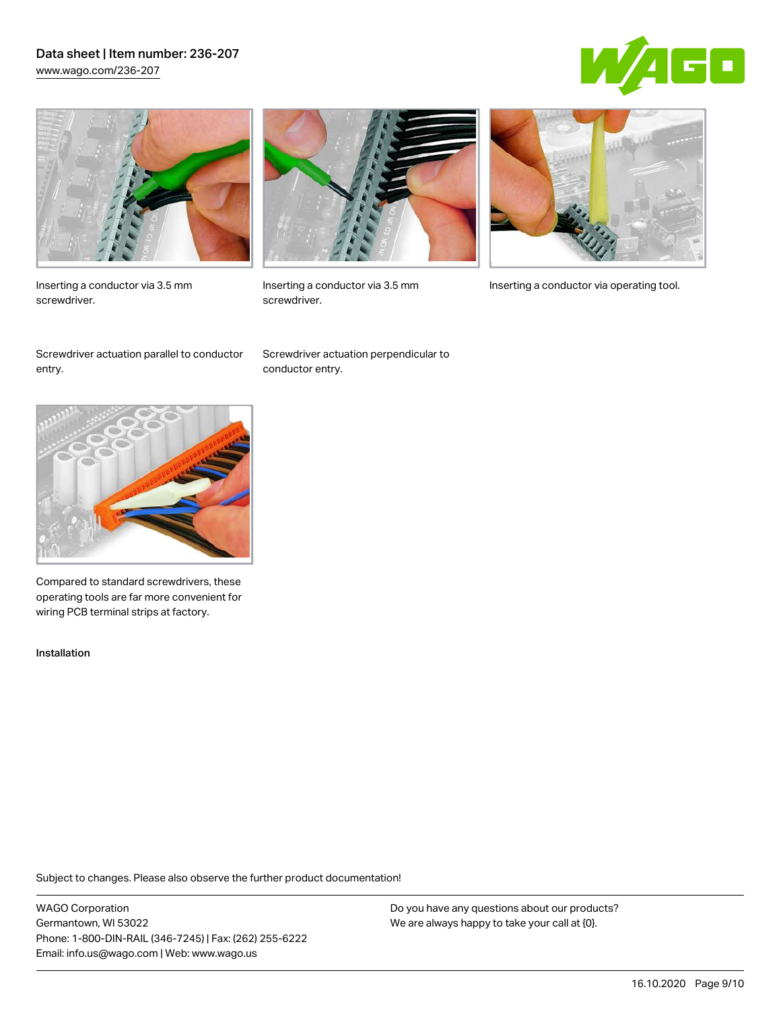## Data sheet | Item number: 236-207 [www.wago.com/236-207](http://www.wago.com/236-207)





Inserting a conductor via 3.5 mm screwdriver.



screwdriver.

Inserting a conductor via 3.5 mm Inserting a conductor via operating tool.

Screwdriver actuation parallel to conductor entry.

Screwdriver actuation perpendicular to conductor entry.



Compared to standard screwdrivers, these operating tools are far more convenient for wiring PCB terminal strips at factory.

Installation

Subject to changes. Please also observe the further product documentation!

WAGO Corporation Germantown, WI 53022 Phone: 1-800-DIN-RAIL (346-7245) | Fax: (262) 255-6222 Email: info.us@wago.com | Web: www.wago.us